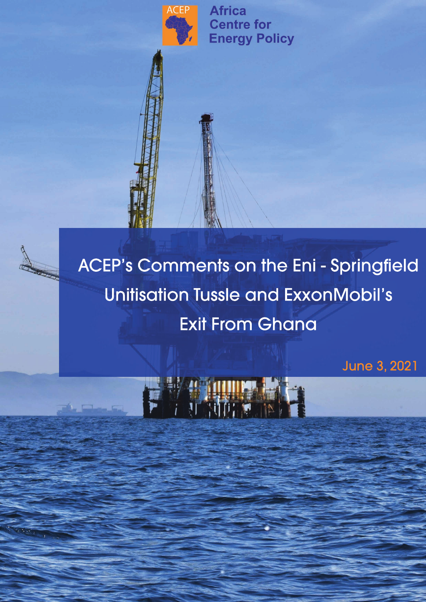

**Africa Centre for Energy Policy** 

ACEP's Comments on the Eni - Springfield Unitisation Tussle and ExxonMobil's **Exit From Ghana** 

June3,2021

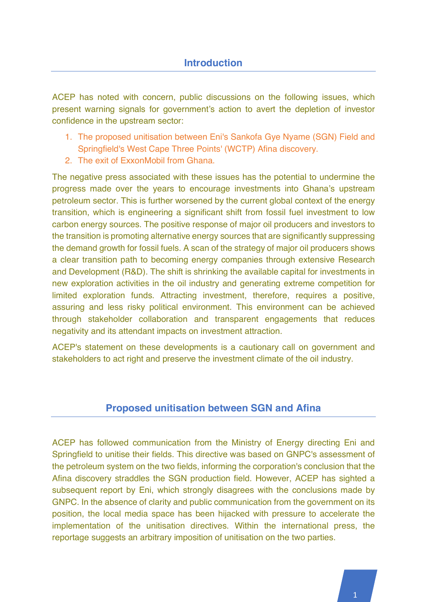ACEP has noted with concern, public discussions on the following issues, which present warning signals for government's action to avert the depletion of investor confidence in the upstream sector:

- 1. The proposed unitisation between Eni's Sankofa Gye Nyame (SGN) Field and Springfield's West Cape Three Points' (WCTP) Afina discovery.
- 2. The exit of ExxonMobil from Ghana.

The negative press associated with these issues has the potential to undermine the progress made over the years to encourage investments into Ghana's upstream petroleum sector. This is further worsened by the current global context of the energy transition, which is engineering a significant shift from fossil fuel investment to low carbon energy sources. The positive response of major oil producers and investors to the transition is promoting alternative energy sources that are significantly suppressing the demand growth for fossil fuels. A scan of the strategy of major oil producers shows a clear transition path to becoming energy companies through extensive Research and Development (R&D). The shift is shrinking the available capital for investments in new exploration activities in the oil industry and generating extreme competition for limited exploration funds. Attracting investment, therefore, requires a positive, assuring and less risky political environment. This environment can be achieved through stakeholder collaboration and transparent engagements that reduces negativity and its attendant impacts on investment attraction.

ACEP's statement on these developments is a cautionary call on government and stakeholders to act right and preserve the investment climate of the oil industry.

## **Proposed unitisation between SGN and Afina**

ACEP has followed communication from the Ministry of Energy directing Eni and Springfield to unitise their fields. This directive was based on GNPC's assessment of the petroleum system on the two fields, informing the corporation's conclusion that the Afina discovery straddles the SGN production field. However, ACEP has sighted a subsequent report by Eni, which strongly disagrees with the conclusions made by GNPC. In the absence of clarity and public communication from the government on its position, the local media space has been hijacked with pressure to accelerate the implementation of the unitisation directives. Within the international press, the reportage suggests an arbitrary imposition of unitisation on the two parties.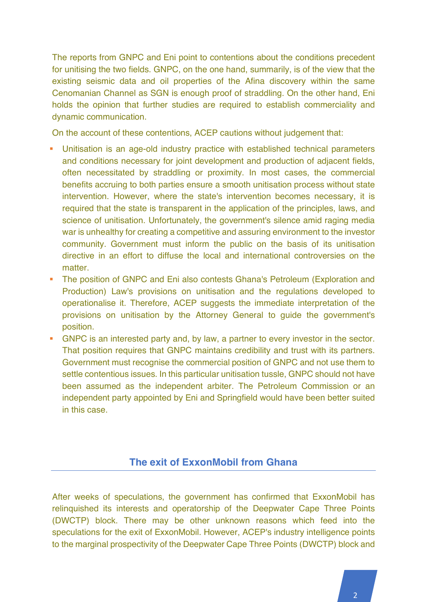The reports from GNPC and Eni point to contentions about the conditions precedent for unitising the two fields. GNPC, on the one hand, summarily, is of the view that the existing seismic data and oil properties of the Afina discovery within the same Cenomanian Channel as SGN is enough proof of straddling. On the other hand, Eni holds the opinion that further studies are required to establish commerciality and dynamic communication.

On the account of these contentions, ACEP cautions without judgement that:

- Unitisation is an age-old industry practice with established technical parameters and conditions necessary for joint development and production of adjacent fields, often necessitated by straddling or proximity. In most cases, the commercial benefits accruing to both parties ensure a smooth unitisation process without state intervention. However, where the state's intervention becomes necessary, it is required that the state is transparent in the application of the principles, laws, and science of unitisation. Unfortunately, the government's silence amid raging media war is unhealthy for creating a competitive and assuring environment to the investor community. Government must inform the public on the basis of its unitisation directive in an effort to diffuse the local and international controversies on the matter
- The position of GNPC and Eni also contests Ghana's Petroleum (Exploration and Production) Law's provisions on unitisation and the regulations developed to operationalise it. Therefore, ACEP suggests the immediate interpretation of the provisions on unitisation by the Attorney General to guide the government's position.
- GNPC is an interested party and, by law, a partner to every investor in the sector. That position requires that GNPC maintains credibility and trust with its partners. Government must recognise the commercial position of GNPC and not use them to settle contentious issues. In this particular unitisation tussle, GNPC should not have been assumed as the independent arbiter. The Petroleum Commission or an independent party appointed by Eni and Springfield would have been better suited in this case.

## **The exit of ExxonMobil from Ghana**

After weeks of speculations, the government has confirmed that ExxonMobil has relinquished its interests and operatorship of the Deepwater Cape Three Points (DWCTP) block. There may be other unknown reasons which feed into the speculations for the exit of ExxonMobil. However, ACEP's industry intelligence points to the marginal prospectivity of the Deepwater Cape Three Points (DWCTP) block and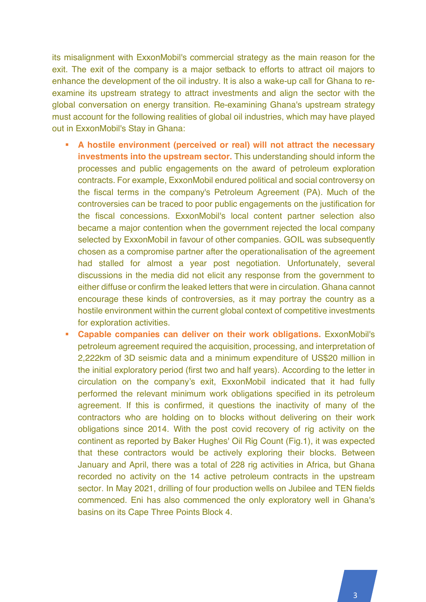its misalignment with ExxonMobil's commercial strategy as the main reason for the exit. The exit of the company is a major setback to efforts to attract oil majors to enhance the development of the oil industry. It is also a wake-up call for Ghana to reexamine its upstream strategy to attract investments and align the sector with the global conversation on energy transition. Re-examining Ghana's upstream strategy must account for the following realities of global oil industries, which may have played out in ExxonMobil's Stay in Ghana:

- § **A hostile environment (perceived or real) will not attract the necessary investments into the upstream sector.** This understanding should inform the processes and public engagements on the award of petroleum exploration contracts. For example, ExxonMobil endured political and social controversy on the fiscal terms in the company's Petroleum Agreement (PA). Much of the controversies can be traced to poor public engagements on the justification for the fiscal concessions. ExxonMobil's local content partner selection also became a major contention when the government rejected the local company selected by ExxonMobil in favour of other companies. GOIL was subsequently chosen as a compromise partner after the operationalisation of the agreement had stalled for almost a year post negotiation. Unfortunately, several discussions in the media did not elicit any response from the government to either diffuse or confirm the leaked letters that were in circulation. Ghana cannot encourage these kinds of controversies, as it may portray the country as a hostile environment within the current global context of competitive investments for exploration activities.
- § **Capable companies can deliver on their work obligations.** ExxonMobil's petroleum agreement required the acquisition, processing, and interpretation of 2,222km of 3D seismic data and a minimum expenditure of US\$20 million in the initial exploratory period (first two and half years). According to the letter in circulation on the company's exit, ExxonMobil indicated that it had fully performed the relevant minimum work obligations specified in its petroleum agreement. If this is confirmed, it questions the inactivity of many of the contractors who are holding on to blocks without delivering on their work obligations since 2014. With the post covid recovery of rig activity on the continent as reported by Baker Hughes' Oil Rig Count (Fig.1), it was expected that these contractors would be actively exploring their blocks. Between January and April, there was a total of 228 rig activities in Africa, but Ghana recorded no activity on the 14 active petroleum contracts in the upstream sector. In May 2021, drilling of four production wells on Jubilee and TEN fields commenced. Eni has also commenced the only exploratory well in Ghana's basins on its Cape Three Points Block 4.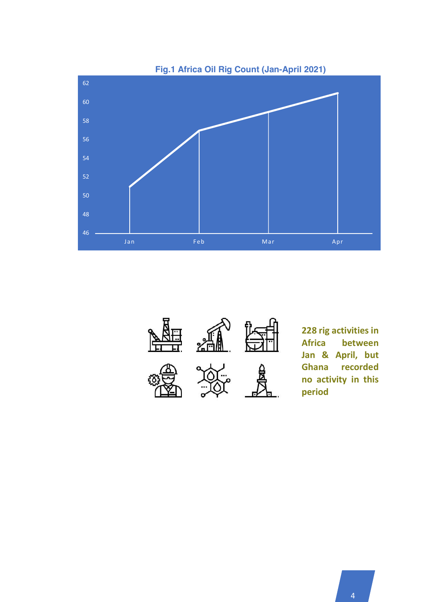

**Fig.1 Africa Oil Rig Count (Jan-April 2021)**



**228 rig activities in Africa between Jan & April, but Ghana recorded no activity in this period**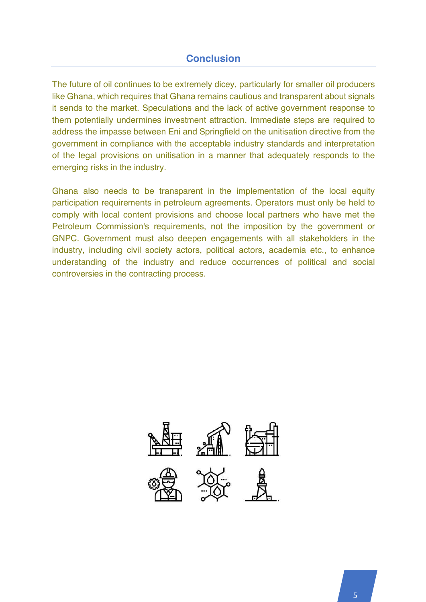## **Conclusion**

The future of oil continues to be extremely dicey, particularly for smaller oil producers like Ghana, which requires that Ghana remains cautious and transparent about signals it sends to the market. Speculations and the lack of active government response to them potentially undermines investment attraction. Immediate steps are required to address the impasse between Eni and Springfield on the unitisation directive from the government in compliance with the acceptable industry standards and interpretation of the legal provisions on unitisation in a manner that adequately responds to the emerging risks in the industry.

Ghana also needs to be transparent in the implementation of the local equity participation requirements in petroleum agreements. Operators must only be held to comply with local content provisions and choose local partners who have met the Petroleum Commission's requirements, not the imposition by the government or GNPC. Government must also deepen engagements with all stakeholders in the industry, including civil society actors, political actors, academia etc., to enhance understanding of the industry and reduce occurrences of political and social controversies in the contracting process.